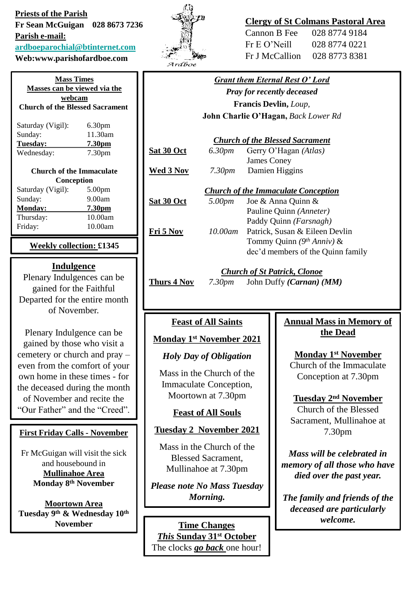**Priests of the Parish Fr Sean McGuigan 028 8673 7236 Parish e-mail: [ardboeparochial@btinternet.com](mailto:ardboeparochial@btinternet.com)**

**Web:www.parishofardboe.com**

**Mass Times Masses can be viewed via the webcam Church of the Blessed Sacrament** Saturday (Vigil): 6.30pm Sunday: 11.30am **Tuesday: 7.30pm** Wednesday: 7.30pm **Church of the Immaculate Conception** Saturday (Vigil): 5.00pm Sunday: 9.00am **Monday: 7.30pm** Thursday: 10.00am Friday: 10.00am

**Weekly collection: £1345**

### **Indulgence**

Plenary Indulgences can be gained for the Faithful Departed for the entire month of November.

Plenary Indulgence can be gained by those who visit a cemetery or church and pray – even from the comfort of your own home in these times - for the deceased during the month of November and recite the "Our Father" and the "Creed".

### **First Friday Calls - November**

Fr McGuigan will visit the sick and housebound in **Mullinahoe Area Monday 8th November** 

**Moortown Area Tuesday 9th & Wednesday 10th November** 



# **Clergy of St Colmans Pastoral Area**

| Cannon B Fee   | 028 8774 9184 |
|----------------|---------------|
| Fr E O' Neill  | 028 8774 0221 |
| Fr J McCallion | 028 8773 8381 |

|                                            |         | <b>Grant them Eternal Rest O' Lord</b> |
|--------------------------------------------|---------|----------------------------------------|
| <b>Pray for recently deceased</b>          |         |                                        |
| <b>Francis Devlin, Loup,</b>               |         |                                        |
| <b>John Charlie O'Hagan, Back Lower Rd</b> |         |                                        |
| <b>Church of the Blessed Sacrament</b>     |         |                                        |
| <b>Sat 30 Oct</b>                          | 6.30pm  | Gerry O'Hagan (Atlas)                  |
|                                            |         | <b>James Coney</b>                     |
| Wed 3 Nov                                  | 7.30pm  | Damien Higgins                         |
| <b>Church of the Immaculate Conception</b> |         |                                        |
| Sat 30 Oct                                 | 5.00pm  | Joe & Anna Quinn &                     |
|                                            |         | Pauline Quinn (Anneter)                |
|                                            |         | Paddy Quinn (Farsnagh)                 |
| Fri 5 Nov                                  | 10.00am | Patrick, Susan & Eileen Devlin         |
|                                            |         | Tommy Quinn $(9th Anniv)$ &            |
|                                            |         | dec'd members of the Quinn family      |
|                                            |         |                                        |

# *Church of St Patrick, Clonoe*

**Thurs 4 Nov** *7.30pm* John Duffy *(Carnan) (MM)*

# **Feast of All Saints**

### **Monday 1st November 2021**

### *Holy Day of Obligation*

Mass in the Church of the Immaculate Conception, Moortown at 7.30pm

### **Feast of All Souls**

### **Tuesday 2 November 2021**

Mass in the Church of the Blessed Sacrament, Mullinahoe at 7.30pm

*Please note No Mass Tuesday Morning.*

*welcome.* **Time Changes** *This* **Sunday 31st October**  The clocks *go back* one hour!

# **Annual Mass in Memory of the Dead**

### **Monday 1st November**

Church of the Immaculate Conception at 7.30pm

**Tuesday 2nd November**

Church of the Blessed Sacrament, Mullinahoe at 7.30pm

*Mass will be celebrated in memory of all those who have died over the past year.*

*The family and friends of the deceased are particularly*